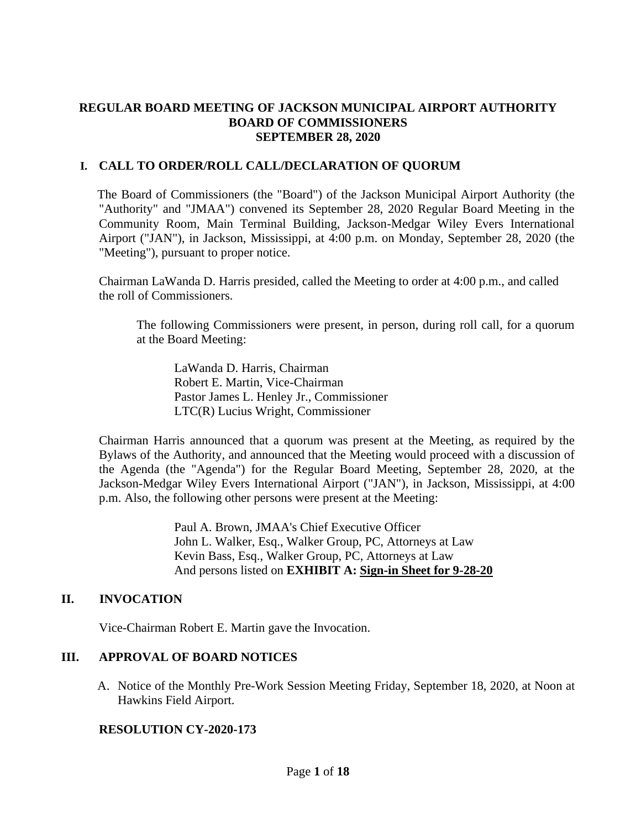## **REGULAR BOARD MEETING OF JACKSON MUNICIPAL AIRPORT AUTHORITY BOARD OF COMMISSIONERS SEPTEMBER 28, 2020**

## **I. CALL TO ORDER/ROLL CALL/DECLARATION OF QUORUM**

The Board of Commissioners (the "Board") of the Jackson Municipal Airport Authority (the "Authority" and "JMAA") convened its September 28, 2020 Regular Board Meeting in the Community Room, Main Terminal Building, Jackson-Medgar Wiley Evers International Airport ("JAN"), in Jackson, Mississippi, at 4:00 p.m. on Monday, September 28, 2020 (the "Meeting"), pursuant to proper notice.

Chairman LaWanda D. Harris presided, called the Meeting to order at 4:00 p.m., and called the roll of Commissioners.

The following Commissioners were present, in person, during roll call, for a quorum at the Board Meeting:

LaWanda D. Harris, Chairman Robert E. Martin, Vice-Chairman Pastor James L. Henley Jr., Commissioner LTC(R) Lucius Wright, Commissioner

Chairman Harris announced that a quorum was present at the Meeting, as required by the Bylaws of the Authority, and announced that the Meeting would proceed with a discussion of the Agenda (the "Agenda") for the Regular Board Meeting, September 28, 2020, at the Jackson-Medgar Wiley Evers International Airport ("JAN"), in Jackson, Mississippi, at 4:00 p.m. Also, the following other persons were present at the Meeting:

> Paul A. Brown, JMAA's Chief Executive Officer John L. Walker, Esq., Walker Group, PC, Attorneys at Law Kevin Bass, Esq., Walker Group, PC, Attorneys at Law And persons listed on **EXHIBIT A: Sign[-in](file:///C:/Users/kevin/AppData/Local/Microsoft/Windows/Temporary%20Internet%20Files/2019-01-28%20Board%20Meeting/2017-07-27%20Board%20Meeting/2016-09-22%20Board%20Meeting/Rescheduled%20Regular%20Board%20Meeting%20Sign%20in%20Sheet%20August%2029%202016.pdf) Sheet for 9-28-20**

## **II. INVOCATION**

Vice-Chairman Robert E. Martin gave the Invocation.

## **III. APPROVAL OF BOARD NOTICES**

A. Notice of the Monthly Pre-Work Session Meeting Friday, September 18, 2020, at Noon at Hawkins Field Airport.

## **RESOLUTION CY-2020-173**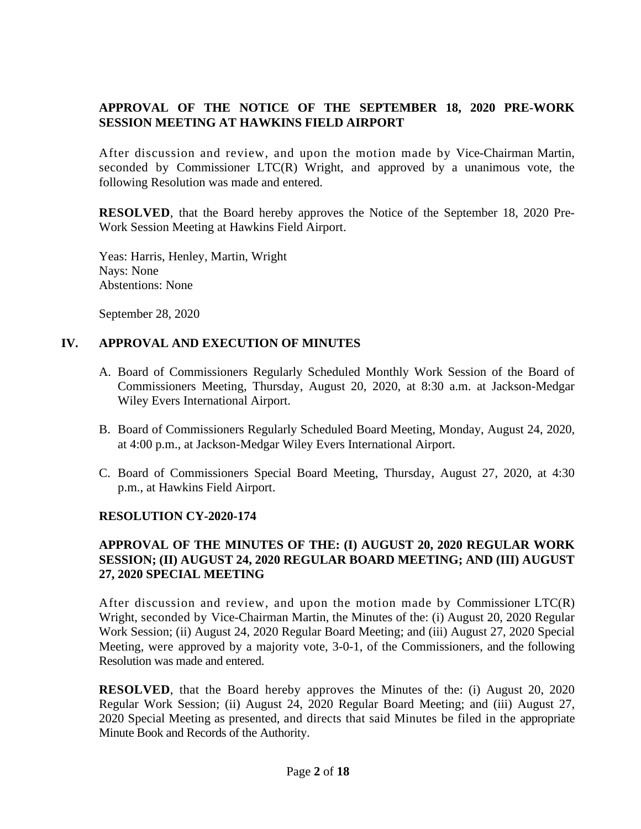## **APPROVAL OF THE NOTICE OF THE SEPTEMBER 18, 2020 PRE-WORK SESSION MEETING AT HAWKINS FIELD AIRPORT**

After discussion and review, and upon the motion made by Vice-Chairman Martin, seconded by Commissioner LTC(R) Wright, and approved by a unanimous vote, the following Resolution was made and entered.

**RESOLVED**, that the Board hereby approves the Notice of the September 18, 2020 Pre-Work Session Meeting at Hawkins Field Airport.

Yeas: Harris, Henley, Martin, Wright Nays: None Abstentions: None

September 28, 2020

## **IV. APPROVAL AND EXECUTION OF MINUTES**

- A. Board of Commissioners Regularly Scheduled Monthly Work Session of the Board of Commissioners Meeting, Thursday, August 20, 2020, at 8:30 a.m. at Jackson-Medgar Wiley Evers International Airport.
- B. Board of Commissioners Regularly Scheduled Board Meeting, Monday, August 24, 2020, at 4:00 p.m., at Jackson-Medgar Wiley Evers International Airport.
- C. Board of Commissioners Special Board Meeting, Thursday, August 27, 2020, at 4:30 p.m., at Hawkins Field Airport.

## **RESOLUTION CY-2020-174**

## **APPROVAL OF THE MINUTES OF THE: (I) AUGUST 20, 2020 REGULAR WORK SESSION; (II) AUGUST 24, 2020 REGULAR BOARD MEETING; AND (III) AUGUST 27, 2020 SPECIAL MEETING**

After discussion and review, and upon the motion made by Commissioner LTC(R) Wright, seconded by Vice-Chairman Martin, the Minutes of the: (i) August 20, 2020 Regular Work Session; (ii) August 24, 2020 Regular Board Meeting; and (iii) August 27, 2020 Special Meeting, were approved by a majority vote, 3-0-1, of the Commissioners, and the following Resolution was made and entered.

**RESOLVED**, that the Board hereby approves the Minutes of the: (i) August 20, 2020 Regular Work Session; (ii) August 24, 2020 Regular Board Meeting; and (iii) August 27, 2020 Special Meeting as presented, and directs that said Minutes be filed in the appropriate Minute Book and Records of the Authority.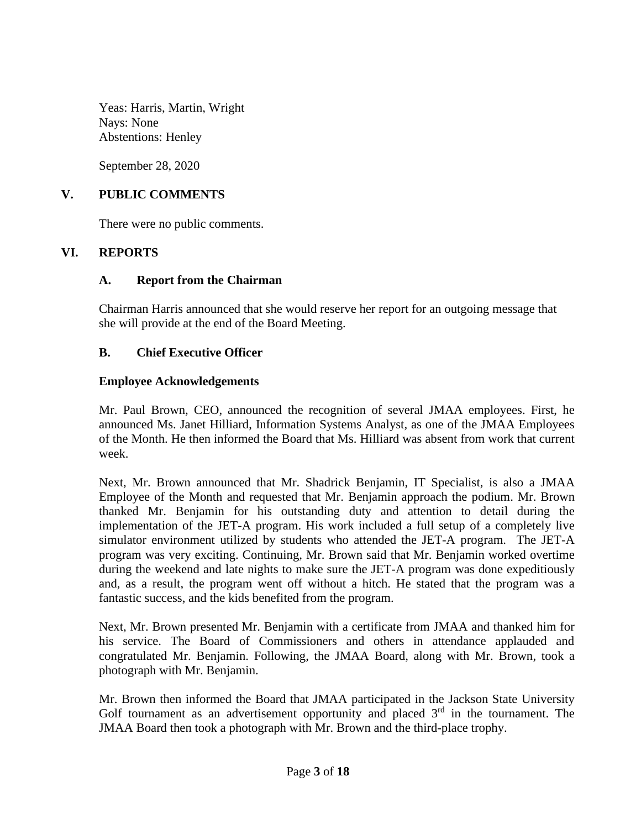Yeas: Harris, Martin, Wright Nays: None Abstentions: Henley

September 28, 2020

### **V. PUBLIC COMMENTS**

There were no public comments.

#### **VI. REPORTS**

#### **A. Report from the Chairman**

Chairman Harris announced that she would reserve her report for an outgoing message that she will provide at the end of the Board Meeting.

#### **B. Chief Executive Officer**

#### **Employee Acknowledgements**

Mr. Paul Brown, CEO, announced the recognition of several JMAA employees. First, he announced Ms. Janet Hilliard, Information Systems Analyst, as one of the JMAA Employees of the Month. He then informed the Board that Ms. Hilliard was absent from work that current week.

Next, Mr. Brown announced that Mr. Shadrick Benjamin, IT Specialist, is also a JMAA Employee of the Month and requested that Mr. Benjamin approach the podium. Mr. Brown thanked Mr. Benjamin for his outstanding duty and attention to detail during the implementation of the JET-A program. His work included a full setup of a completely live simulator environment utilized by students who attended the JET-A program. The JET-A program was very exciting. Continuing, Mr. Brown said that Mr. Benjamin worked overtime during the weekend and late nights to make sure the JET-A program was done expeditiously and, as a result, the program went off without a hitch. He stated that the program was a fantastic success, and the kids benefited from the program.

Next, Mr. Brown presented Mr. Benjamin with a certificate from JMAA and thanked him for his service. The Board of Commissioners and others in attendance applauded and congratulated Mr. Benjamin. Following, the JMAA Board, along with Mr. Brown, took a photograph with Mr. Benjamin.

Mr. Brown then informed the Board that JMAA participated in the Jackson State University Golf tournament as an advertisement opportunity and placed  $3<sup>rd</sup>$  in the tournament. The JMAA Board then took a photograph with Mr. Brown and the third-place trophy.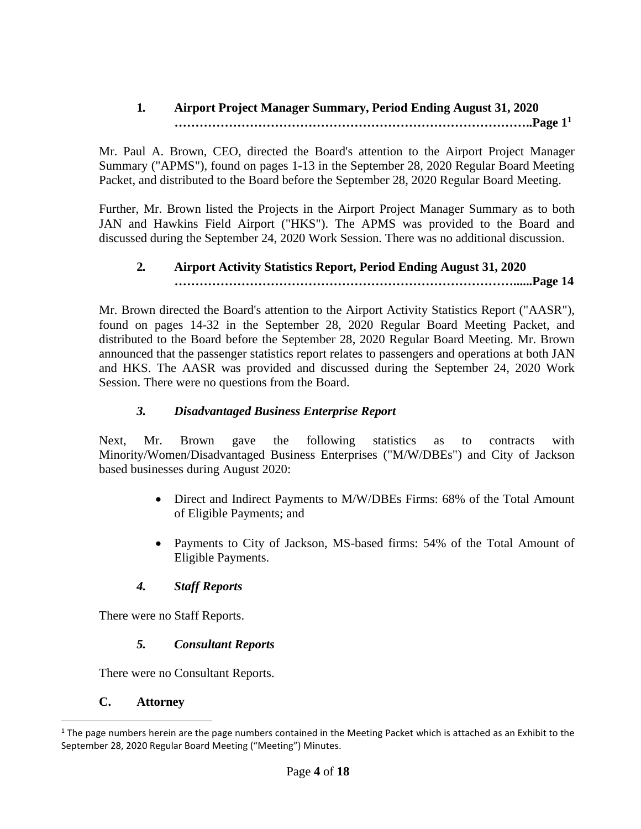## **1***.* **Airport Project Manager Summary, Period Ending August 31, 2020 …………………………………………………………………………..Page 1<sup>1</sup>**

Mr. Paul A. Brown, CEO, directed the Board's attention to the Airport Project Manager Summary ("APMS"), found on pages 1-13 in the September 28, 2020 Regular Board Meeting Packet, and distributed to the Board before the September 28, 2020 Regular Board Meeting.

Further, Mr. Brown listed the Projects in the Airport Project Manager Summary as to both JAN and Hawkins Field Airport ("HKS"). The APMS was provided to the Board and discussed during the September 24, 2020 Work Session. There was no additional discussion.

# **2***.* **Airport Activity Statistics Report, Period Ending August 31, 2020 ………………………………………………………………………......Page 14**

Mr. Brown directed the Board's attention to the Airport Activity Statistics Report ("AASR"), found on pages 14-32 in the September 28, 2020 Regular Board Meeting Packet, and distributed to the Board before the September 28, 2020 Regular Board Meeting. Mr. Brown announced that the passenger statistics report relates to passengers and operations at both JAN and HKS. The AASR was provided and discussed during the September 24, 2020 Work Session. There were no questions from the Board.

# *3. Disadvantaged Business Enterprise Report*

Next, Mr. Brown gave the following statistics as to contracts with Minority/Women/Disadvantaged Business Enterprises ("M/W/DBEs") and City of Jackson based businesses during August 2020:

- Direct and Indirect Payments to M/W/DBEs Firms: 68% of the Total Amount of Eligible Payments; and
- Payments to City of Jackson, MS-based firms: 54% of the Total Amount of Eligible Payments.

# *4. Staff Reports*

There were no Staff Reports.

# *5. Consultant Reports*

There were no Consultant Reports.

## **C. Attorney**

 $1$  The page numbers herein are the page numbers contained in the Meeting Packet which is attached as an Exhibit to the September 28, 2020 Regular Board Meeting ("Meeting") Minutes.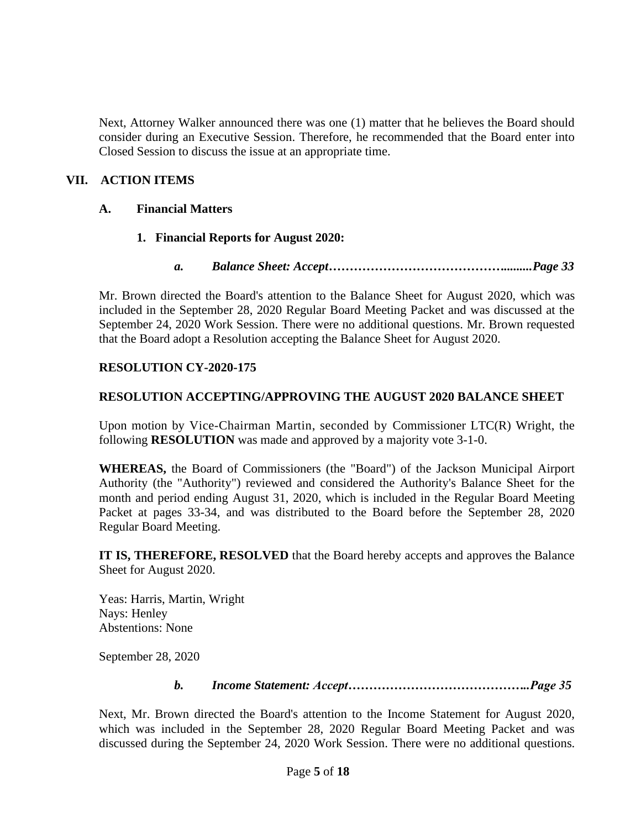Next, Attorney Walker announced there was one (1) matter that he believes the Board should consider during an Executive Session. Therefore, he recommended that the Board enter into Closed Session to discuss the issue at an appropriate time.

## **VII. ACTION ITEMS**

### **A. Financial Matters**

## **1. Financial Reports for August 2020:**

*a. Balance Sheet: Accept…………………………………….........Page 33*

Mr. Brown directed the Board's attention to the Balance Sheet for August 2020, which was included in the September 28, 2020 Regular Board Meeting Packet and was discussed at the September 24, 2020 Work Session. There were no additional questions. Mr. Brown requested that the Board adopt a Resolution accepting the Balance Sheet for August 2020.

#### **RESOLUTION CY-2020-175**

#### **RESOLUTION ACCEPTING/APPROVING THE AUGUST 2020 BALANCE SHEET**

Upon motion by Vice-Chairman Martin, seconded by Commissioner LTC(R) Wright, the following **RESOLUTION** was made and approved by a majority vote 3-1-0.

**WHEREAS,** the Board of Commissioners (the "Board") of the Jackson Municipal Airport Authority (the "Authority") reviewed and considered the Authority's Balance Sheet for the month and period ending August 31, 2020, which is included in the Regular Board Meeting Packet at pages 33-34, and was distributed to the Board before the September 28, 2020 Regular Board Meeting.

**IT IS, THEREFORE, RESOLVED** that the Board hereby accepts and approves the Balance Sheet for August 2020.

Yeas: Harris, Martin, Wright Nays: Henley Abstentions: None

September 28, 2020

*b. Income Statement: Accept……………………………………..Page 35*

Next, Mr. Brown directed the Board's attention to the Income Statement for August 2020, which was included in the September 28, 2020 Regular Board Meeting Packet and was discussed during the September 24, 2020 Work Session. There were no additional questions.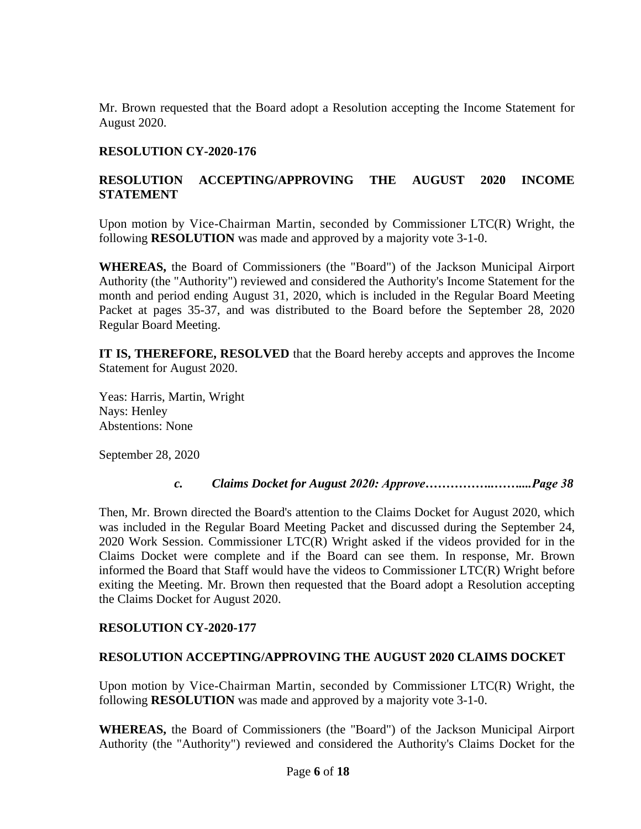Mr. Brown requested that the Board adopt a Resolution accepting the Income Statement for August 2020.

### **RESOLUTION CY-2020-176**

## **RESOLUTION ACCEPTING/APPROVING THE AUGUST 2020 INCOME STATEMENT**

Upon motion by Vice-Chairman Martin, seconded by Commissioner LTC(R) Wright, the following **RESOLUTION** was made and approved by a majority vote 3-1-0.

**WHEREAS,** the Board of Commissioners (the "Board") of the Jackson Municipal Airport Authority (the "Authority") reviewed and considered the Authority's Income Statement for the month and period ending August 31, 2020, which is included in the Regular Board Meeting Packet at pages 35-37, and was distributed to the Board before the September 28, 2020 Regular Board Meeting.

**IT IS, THEREFORE, RESOLVED** that the Board hereby accepts and approves the Income Statement for August 2020.

Yeas: Harris, Martin, Wright Nays: Henley Abstentions: None

September 28, 2020

#### *c. Claims Docket for August 2020: Approve……………..……....Page 38*

Then, Mr. Brown directed the Board's attention to the Claims Docket for August 2020, which was included in the Regular Board Meeting Packet and discussed during the September 24, 2020 Work Session. Commissioner LTC(R) Wright asked if the videos provided for in the Claims Docket were complete and if the Board can see them. In response, Mr. Brown informed the Board that Staff would have the videos to Commissioner LTC(R) Wright before exiting the Meeting. Mr. Brown then requested that the Board adopt a Resolution accepting the Claims Docket for August 2020.

#### **RESOLUTION CY-2020-177**

#### **RESOLUTION ACCEPTING/APPROVING THE AUGUST 2020 CLAIMS DOCKET**

Upon motion by Vice-Chairman Martin, seconded by Commissioner LTC(R) Wright, the following **RESOLUTION** was made and approved by a majority vote 3-1-0.

**WHEREAS,** the Board of Commissioners (the "Board") of the Jackson Municipal Airport Authority (the "Authority") reviewed and considered the Authority's Claims Docket for the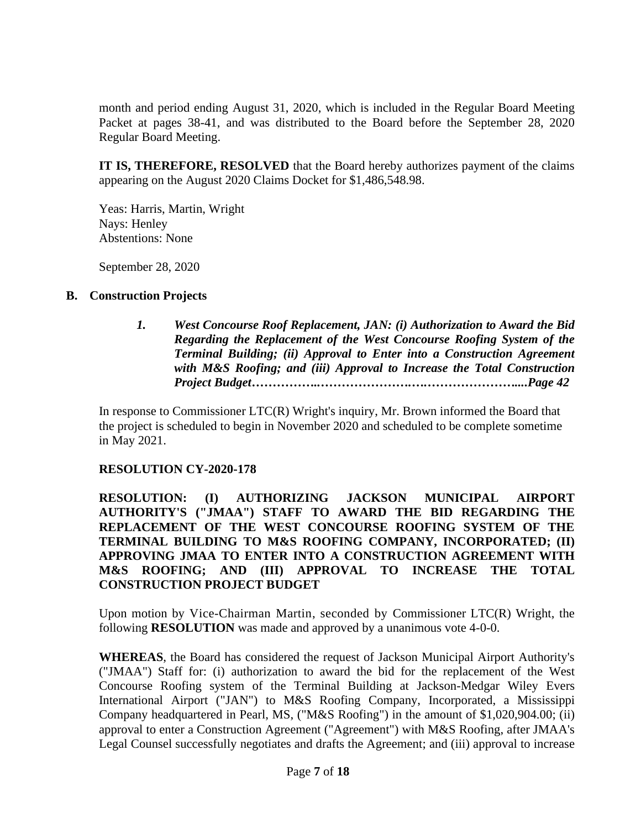month and period ending August 31, 2020, which is included in the Regular Board Meeting Packet at pages 38-41, and was distributed to the Board before the September 28, 2020 Regular Board Meeting.

**IT IS, THEREFORE, RESOLVED** that the Board hereby authorizes payment of the claims appearing on the August 2020 Claims Docket for \$1,486,548.98.

Yeas: Harris, Martin, Wright Nays: Henley Abstentions: None

September 28, 2020

## **B. Construction Projects**

*1. West Concourse Roof Replacement, JAN: (i) Authorization to Award the Bid Regarding the Replacement of the West Concourse Roofing System of the Terminal Building; (ii) Approval to Enter into a Construction Agreement with M&S Roofing; and (iii) Approval to Increase the Total Construction Project Budget……………..………………….….…………………....Page 42*

In response to Commissioner LTC(R) Wright's inquiry, Mr. Brown informed the Board that the project is scheduled to begin in November 2020 and scheduled to be complete sometime in May 2021.

## **RESOLUTION CY-2020-178**

**RESOLUTION: (I) AUTHORIZING JACKSON MUNICIPAL AIRPORT AUTHORITY'S ("JMAA") STAFF TO AWARD THE BID REGARDING THE REPLACEMENT OF THE WEST CONCOURSE ROOFING SYSTEM OF THE TERMINAL BUILDING TO M&S ROOFING COMPANY, INCORPORATED; (II) APPROVING JMAA TO ENTER INTO A CONSTRUCTION AGREEMENT WITH M&S ROOFING; AND (III) APPROVAL TO INCREASE THE TOTAL CONSTRUCTION PROJECT BUDGET**

Upon motion by Vice-Chairman Martin, seconded by Commissioner LTC(R) Wright, the following **RESOLUTION** was made and approved by a unanimous vote 4-0-0.

**WHEREAS**, the Board has considered the request of Jackson Municipal Airport Authority's ("JMAA") Staff for: (i) authorization to award the bid for the replacement of the West Concourse Roofing system of the Terminal Building at Jackson-Medgar Wiley Evers International Airport ("JAN") to M&S Roofing Company, Incorporated, a Mississippi Company headquartered in Pearl, MS, ("M&S Roofing") in the amount of \$1,020,904.00; (ii) approval to enter a Construction Agreement ("Agreement") with M&S Roofing, after JMAA's Legal Counsel successfully negotiates and drafts the Agreement; and (iii) approval to increase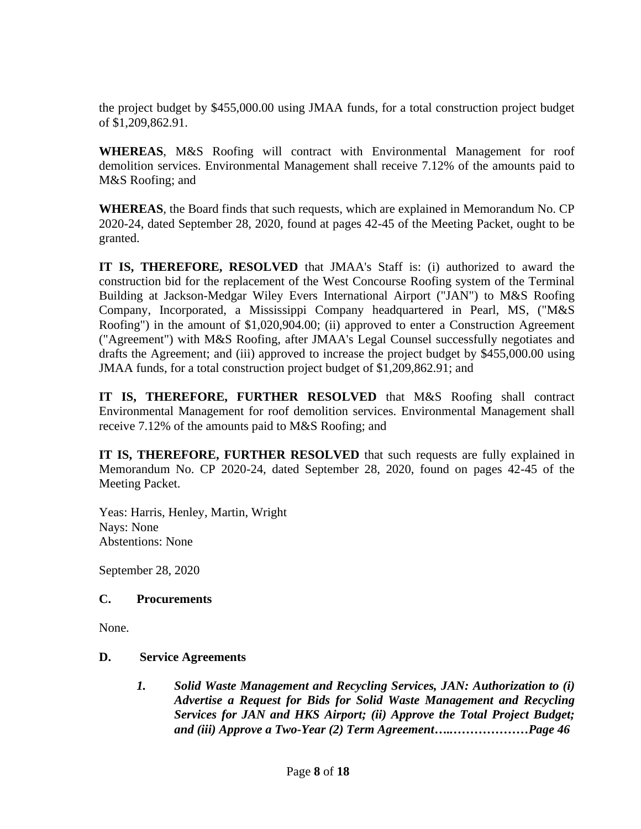the project budget by \$455,000.00 using JMAA funds, for a total construction project budget of \$1,209,862.91.

**WHEREAS**, M&S Roofing will contract with Environmental Management for roof demolition services. Environmental Management shall receive 7.12% of the amounts paid to M&S Roofing; and

**WHEREAS**, the Board finds that such requests, which are explained in Memorandum No. CP 2020-24, dated September 28, 2020, found at pages 42-45 of the Meeting Packet, ought to be granted.

**IT IS, THEREFORE, RESOLVED** that JMAA's Staff is: (i) authorized to award the construction bid for the replacement of the West Concourse Roofing system of the Terminal Building at Jackson-Medgar Wiley Evers International Airport ("JAN") to M&S Roofing Company, Incorporated, a Mississippi Company headquartered in Pearl, MS, ("M&S Roofing") in the amount of \$1,020,904.00; (ii) approved to enter a Construction Agreement ("Agreement") with M&S Roofing, after JMAA's Legal Counsel successfully negotiates and drafts the Agreement; and (iii) approved to increase the project budget by \$455,000.00 using JMAA funds, for a total construction project budget of \$1,209,862.91; and

**IT IS, THEREFORE, FURTHER RESOLVED** that M&S Roofing shall contract Environmental Management for roof demolition services. Environmental Management shall receive 7.12% of the amounts paid to M&S Roofing; and

**IT IS, THEREFORE, FURTHER RESOLVED** that such requests are fully explained in Memorandum No. CP 2020-24, dated September 28, 2020, found on pages 42-45 of the Meeting Packet.

Yeas: Harris, Henley, Martin, Wright Nays: None Abstentions: None

September 28, 2020

## **C. Procurements**

None.

## **D. Service Agreements**

*1. Solid Waste Management and Recycling Services, JAN: Authorization to (i) Advertise a Request for Bids for Solid Waste Management and Recycling Services for JAN and HKS Airport; (ii) Approve the Total Project Budget; and (iii) Approve a Two-Year (2) Term Agreement…..………………Page 46*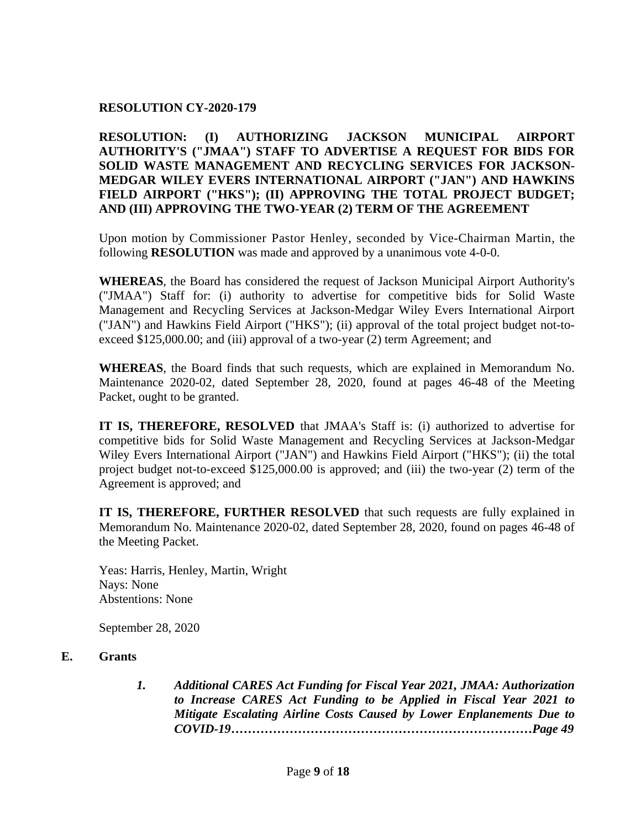#### **RESOLUTION CY-2020-179**

## **RESOLUTION: (I) AUTHORIZING JACKSON MUNICIPAL AIRPORT AUTHORITY'S ("JMAA") STAFF TO ADVERTISE A REQUEST FOR BIDS FOR SOLID WASTE MANAGEMENT AND RECYCLING SERVICES FOR JACKSON-MEDGAR WILEY EVERS INTERNATIONAL AIRPORT ("JAN") AND HAWKINS FIELD AIRPORT ("HKS"); (II) APPROVING THE TOTAL PROJECT BUDGET; AND (III) APPROVING THE TWO-YEAR (2) TERM OF THE AGREEMENT**

Upon motion by Commissioner Pastor Henley, seconded by Vice-Chairman Martin, the following **RESOLUTION** was made and approved by a unanimous vote 4-0-0.

**WHEREAS**, the Board has considered the request of Jackson Municipal Airport Authority's ("JMAA") Staff for: (i) authority to advertise for competitive bids for Solid Waste Management and Recycling Services at Jackson-Medgar Wiley Evers International Airport ("JAN") and Hawkins Field Airport ("HKS"); (ii) approval of the total project budget not-toexceed \$125,000.00; and (iii) approval of a two-year (2) term Agreement; and

**WHEREAS**, the Board finds that such requests, which are explained in Memorandum No. Maintenance 2020-02, dated September 28, 2020, found at pages 46-48 of the Meeting Packet, ought to be granted.

**IT IS, THEREFORE, RESOLVED** that JMAA's Staff is: (i) authorized to advertise for competitive bids for Solid Waste Management and Recycling Services at Jackson-Medgar Wiley Evers International Airport ("JAN") and Hawkins Field Airport ("HKS"); (ii) the total project budget not-to-exceed \$125,000.00 is approved; and (iii) the two-year (2) term of the Agreement is approved; and

**IT IS, THEREFORE, FURTHER RESOLVED** that such requests are fully explained in Memorandum No. Maintenance 2020-02, dated September 28, 2020, found on pages 46-48 of the Meeting Packet.

Yeas: Harris, Henley, Martin, Wright Nays: None Abstentions: None

September 28, 2020

### **E. Grants**

*1. Additional CARES Act Funding for Fiscal Year 2021, JMAA: Authorization to Increase CARES Act Funding to be Applied in Fiscal Year 2021 to Mitigate Escalating Airline Costs Caused by Lower Enplanements Due to COVID-19………………………………………………………………Page 49*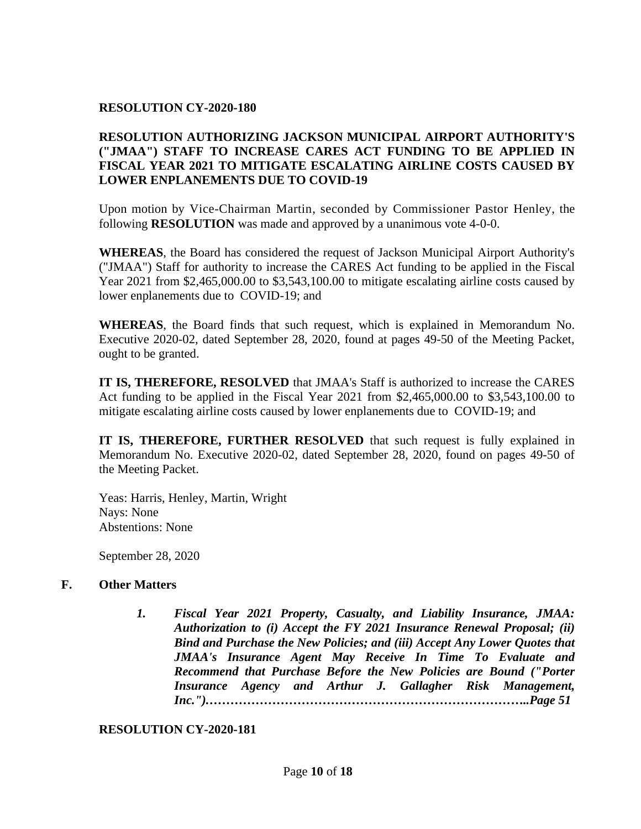#### **RESOLUTION CY-2020-180**

## **RESOLUTION AUTHORIZING JACKSON MUNICIPAL AIRPORT AUTHORITY'S ("JMAA") STAFF TO INCREASE CARES ACT FUNDING TO BE APPLIED IN FISCAL YEAR 2021 TO MITIGATE ESCALATING AIRLINE COSTS CAUSED BY LOWER ENPLANEMENTS DUE TO COVID-19**

Upon motion by Vice-Chairman Martin, seconded by Commissioner Pastor Henley, the following **RESOLUTION** was made and approved by a unanimous vote 4-0-0.

**WHEREAS**, the Board has considered the request of Jackson Municipal Airport Authority's ("JMAA") Staff for authority to increase the CARES Act funding to be applied in the Fiscal Year 2021 from \$2,465,000.00 to \$3,543,100.00 to mitigate escalating airline costs caused by lower enplanements due to COVID-19; and

**WHEREAS**, the Board finds that such request, which is explained in Memorandum No. Executive 2020-02, dated September 28, 2020, found at pages 49-50 of the Meeting Packet, ought to be granted.

**IT IS, THEREFORE, RESOLVED** that JMAA's Staff is authorized to increase the CARES Act funding to be applied in the Fiscal Year 2021 from \$2,465,000.00 to \$3,543,100.00 to mitigate escalating airline costs caused by lower enplanements due to COVID-19; and

**IT IS, THEREFORE, FURTHER RESOLVED** that such request is fully explained in Memorandum No. Executive 2020-02, dated September 28, 2020, found on pages 49-50 of the Meeting Packet.

Yeas: Harris, Henley, Martin, Wright Nays: None Abstentions: None

September 28, 2020

## **F. Other Matters**

*1. Fiscal Year 2021 Property, Casualty, and Liability Insurance, JMAA: Authorization to (i) Accept the FY 2021 Insurance Renewal Proposal; (ii) Bind and Purchase the New Policies; and (iii) Accept Any Lower Quotes that JMAA's Insurance Agent May Receive In Time To Evaluate and Recommend that Purchase Before the New Policies are Bound ("Porter Insurance Agency and Arthur J. Gallagher Risk Management, Inc.").…………………………………………………………………..Page 51*

## **RESOLUTION CY-2020-181**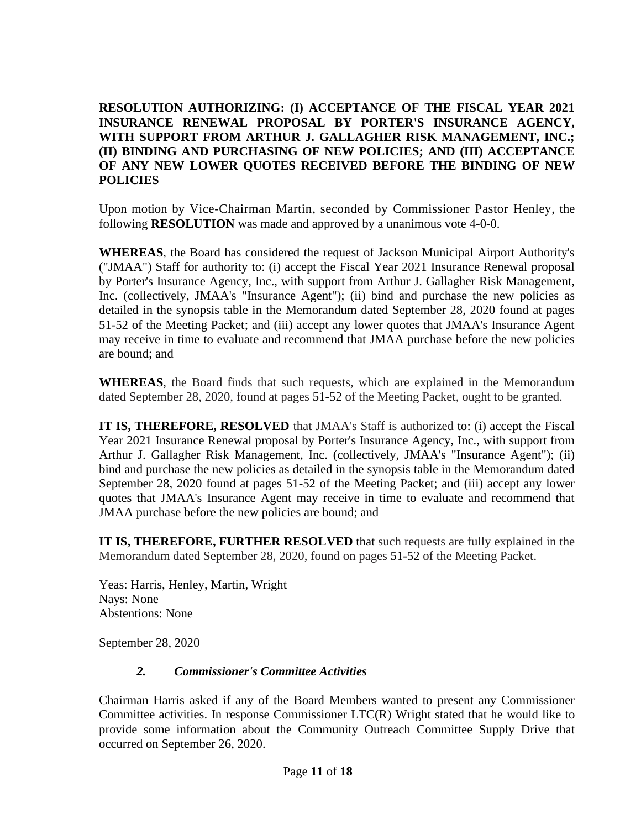**RESOLUTION AUTHORIZING: (I) ACCEPTANCE OF THE FISCAL YEAR 2021 INSURANCE RENEWAL PROPOSAL BY PORTER'S INSURANCE AGENCY, WITH SUPPORT FROM ARTHUR J. GALLAGHER RISK MANAGEMENT, INC.; (II) BINDING AND PURCHASING OF NEW POLICIES; AND (III) ACCEPTANCE OF ANY NEW LOWER QUOTES RECEIVED BEFORE THE BINDING OF NEW POLICIES** 

Upon motion by Vice-Chairman Martin, seconded by Commissioner Pastor Henley, the following **RESOLUTION** was made and approved by a unanimous vote 4-0-0.

**WHEREAS**, the Board has considered the request of Jackson Municipal Airport Authority's ("JMAA") Staff for authority to: (i) accept the Fiscal Year 2021 Insurance Renewal proposal by Porter's Insurance Agency, Inc., with support from Arthur J. Gallagher Risk Management, Inc. (collectively, JMAA's "Insurance Agent"); (ii) bind and purchase the new policies as detailed in the synopsis table in the Memorandum dated September 28, 2020 found at pages 51-52 of the Meeting Packet; and (iii) accept any lower quotes that JMAA's Insurance Agent may receive in time to evaluate and recommend that JMAA purchase before the new policies are bound; and

**WHEREAS**, the Board finds that such requests, which are explained in the Memorandum dated September 28, 2020, found at pages 51-52 of the Meeting Packet, ought to be granted.

**IT IS, THEREFORE, RESOLVED** that JMAA's Staff is authorized to: (i) accept the Fiscal Year 2021 Insurance Renewal proposal by Porter's Insurance Agency, Inc., with support from Arthur J. Gallagher Risk Management, Inc. (collectively, JMAA's "Insurance Agent"); (ii) bind and purchase the new policies as detailed in the synopsis table in the Memorandum dated September 28, 2020 found at pages 51-52 of the Meeting Packet; and (iii) accept any lower quotes that JMAA's Insurance Agent may receive in time to evaluate and recommend that JMAA purchase before the new policies are bound; and

**IT IS, THEREFORE, FURTHER RESOLVED** that such requests are fully explained in the Memorandum dated September 28, 2020, found on pages 51-52 of the Meeting Packet.

Yeas: Harris, Henley, Martin, Wright Nays: None Abstentions: None

September 28, 2020

## *2. Commissioner's Committee Activities*

Chairman Harris asked if any of the Board Members wanted to present any Commissioner Committee activities. In response Commissioner LTC(R) Wright stated that he would like to provide some information about the Community Outreach Committee Supply Drive that occurred on September 26, 2020.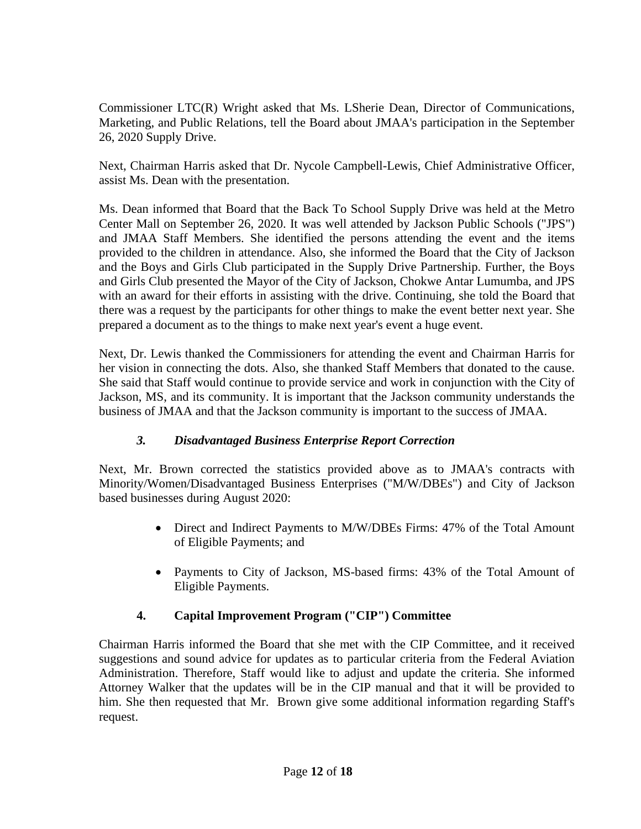Commissioner LTC(R) Wright asked that Ms. LSherie Dean, Director of Communications, Marketing, and Public Relations, tell the Board about JMAA's participation in the September 26, 2020 Supply Drive.

Next, Chairman Harris asked that Dr. Nycole Campbell-Lewis, Chief Administrative Officer, assist Ms. Dean with the presentation.

Ms. Dean informed that Board that the Back To School Supply Drive was held at the Metro Center Mall on September 26, 2020. It was well attended by Jackson Public Schools ("JPS") and JMAA Staff Members. She identified the persons attending the event and the items provided to the children in attendance. Also, she informed the Board that the City of Jackson and the Boys and Girls Club participated in the Supply Drive Partnership. Further, the Boys and Girls Club presented the Mayor of the City of Jackson, Chokwe Antar Lumumba, and JPS with an award for their efforts in assisting with the drive. Continuing, she told the Board that there was a request by the participants for other things to make the event better next year. She prepared a document as to the things to make next year's event a huge event.

Next, Dr. Lewis thanked the Commissioners for attending the event and Chairman Harris for her vision in connecting the dots. Also, she thanked Staff Members that donated to the cause. She said that Staff would continue to provide service and work in conjunction with the City of Jackson, MS, and its community. It is important that the Jackson community understands the business of JMAA and that the Jackson community is important to the success of JMAA.

## *3. Disadvantaged Business Enterprise Report Correction*

Next, Mr. Brown corrected the statistics provided above as to JMAA's contracts with Minority/Women/Disadvantaged Business Enterprises ("M/W/DBEs") and City of Jackson based businesses during August 2020:

- Direct and Indirect Payments to M/W/DBEs Firms: 47% of the Total Amount of Eligible Payments; and
- Payments to City of Jackson, MS-based firms: 43% of the Total Amount of Eligible Payments.

# **4. Capital Improvement Program ("CIP") Committee**

Chairman Harris informed the Board that she met with the CIP Committee, and it received suggestions and sound advice for updates as to particular criteria from the Federal Aviation Administration. Therefore, Staff would like to adjust and update the criteria. She informed Attorney Walker that the updates will be in the CIP manual and that it will be provided to him. She then requested that Mr. Brown give some additional information regarding Staff's request.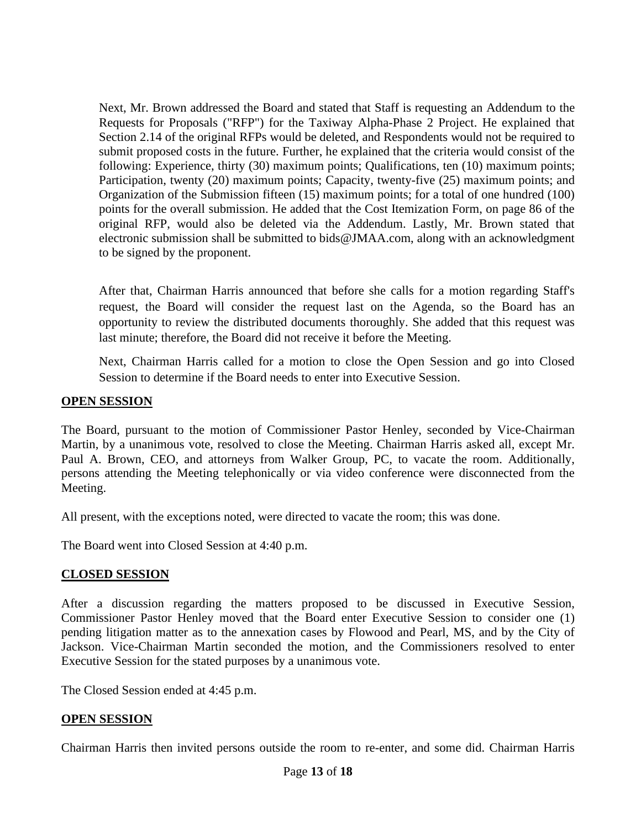Next, Mr. Brown addressed the Board and stated that Staff is requesting an Addendum to the Requests for Proposals ("RFP") for the Taxiway Alpha-Phase 2 Project. He explained that Section 2.14 of the original RFPs would be deleted, and Respondents would not be required to submit proposed costs in the future. Further, he explained that the criteria would consist of the following: Experience, thirty (30) maximum points; Qualifications, ten (10) maximum points; Participation, twenty (20) maximum points; Capacity, twenty-five (25) maximum points; and Organization of the Submission fifteen (15) maximum points; for a total of one hundred (100) points for the overall submission. He added that the Cost Itemization Form, on page 86 of the original RFP, would also be deleted via the Addendum. Lastly, Mr. Brown stated that electronic submission shall be submitted to bids@JMAA.com, along with an acknowledgment to be signed by the proponent.

After that, Chairman Harris announced that before she calls for a motion regarding Staff's request, the Board will consider the request last on the Agenda, so the Board has an opportunity to review the distributed documents thoroughly. She added that this request was last minute; therefore, the Board did not receive it before the Meeting.

Next, Chairman Harris called for a motion to close the Open Session and go into Closed Session to determine if the Board needs to enter into Executive Session.

## **OPEN SESSION**

The Board, pursuant to the motion of Commissioner Pastor Henley, seconded by Vice-Chairman Martin, by a unanimous vote, resolved to close the Meeting. Chairman Harris asked all, except Mr. Paul A. Brown, CEO, and attorneys from Walker Group, PC, to vacate the room. Additionally, persons attending the Meeting telephonically or via video conference were disconnected from the Meeting.

All present, with the exceptions noted, were directed to vacate the room; this was done.

The Board went into Closed Session at 4:40 p.m.

## **CLOSED SESSION**

After a discussion regarding the matters proposed to be discussed in Executive Session, Commissioner Pastor Henley moved that the Board enter Executive Session to consider one (1) pending litigation matter as to the annexation cases by Flowood and Pearl, MS, and by the City of Jackson. Vice-Chairman Martin seconded the motion, and the Commissioners resolved to enter Executive Session for the stated purposes by a unanimous vote.

The Closed Session ended at 4:45 p.m.

## **OPEN SESSION**

Chairman Harris then invited persons outside the room to re-enter, and some did. Chairman Harris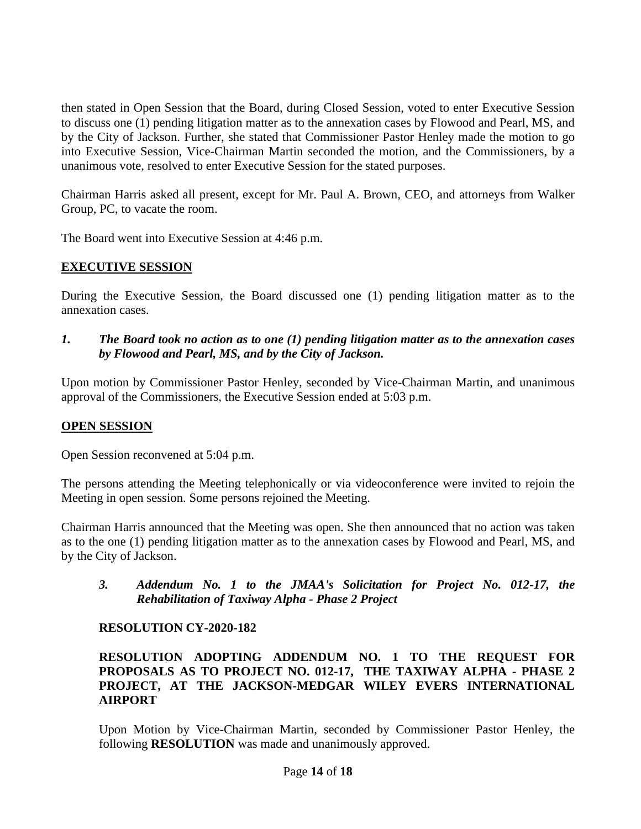then stated in Open Session that the Board, during Closed Session, voted to enter Executive Session to discuss one (1) pending litigation matter as to the annexation cases by Flowood and Pearl, MS, and by the City of Jackson. Further, she stated that Commissioner Pastor Henley made the motion to go into Executive Session, Vice-Chairman Martin seconded the motion, and the Commissioners, by a unanimous vote, resolved to enter Executive Session for the stated purposes.

Chairman Harris asked all present, except for Mr. Paul A. Brown, CEO, and attorneys from Walker Group, PC, to vacate the room.

The Board went into Executive Session at 4:46 p.m.

## **EXECUTIVE SESSION**

During the Executive Session, the Board discussed one (1) pending litigation matter as to the annexation cases.

*1. The Board took no action as to one (1) pending litigation matter as to the annexation cases by Flowood and Pearl, MS, and by the City of Jackson.*

Upon motion by Commissioner Pastor Henley, seconded by Vice-Chairman Martin, and unanimous approval of the Commissioners, the Executive Session ended at 5:03 p.m.

## **OPEN SESSION**

Open Session reconvened at 5:04 p.m.

The persons attending the Meeting telephonically or via videoconference were invited to rejoin the Meeting in open session. Some persons rejoined the Meeting.

Chairman Harris announced that the Meeting was open. She then announced that no action was taken as to the one (1) pending litigation matter as to the annexation cases by Flowood and Pearl, MS, and by the City of Jackson.

*3. Addendum No. 1 to the JMAA's Solicitation for Project No. 012-17, the Rehabilitation of Taxiway Alpha - Phase 2 Project* 

## **RESOLUTION CY-2020-182**

## **RESOLUTION ADOPTING ADDENDUM NO. 1 TO THE REQUEST FOR PROPOSALS AS TO PROJECT NO. 012-17, THE TAXIWAY ALPHA - PHASE 2 PROJECT, AT THE JACKSON-MEDGAR WILEY EVERS INTERNATIONAL AIRPORT**

Upon Motion by Vice-Chairman Martin, seconded by Commissioner Pastor Henley, the following **RESOLUTION** was made and unanimously approved.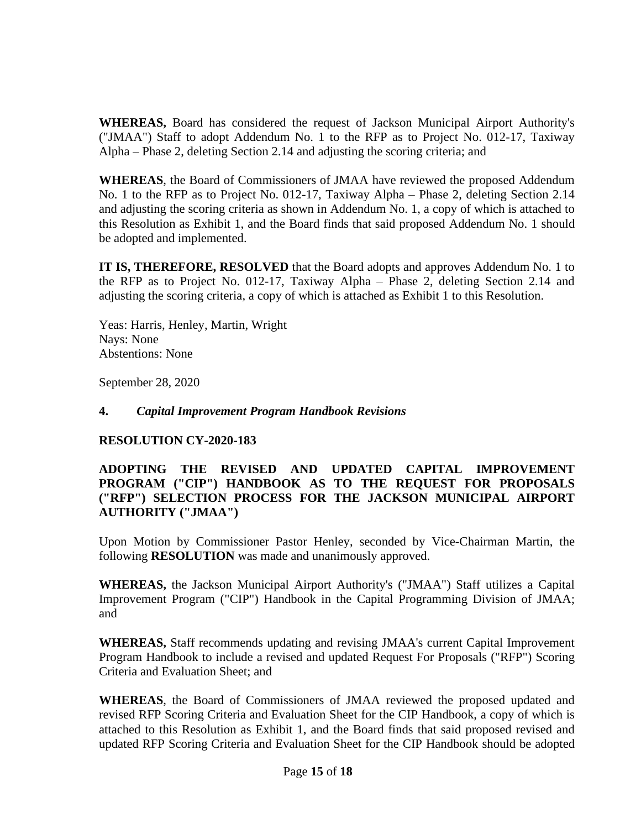**WHEREAS,** Board has considered the request of Jackson Municipal Airport Authority's ("JMAA") Staff to adopt Addendum No. 1 to the RFP as to Project No. 012-17, Taxiway Alpha – Phase 2, deleting Section 2.14 and adjusting the scoring criteria; and

**WHEREAS**, the Board of Commissioners of JMAA have reviewed the proposed Addendum No. 1 to the RFP as to Project No. 012-17, Taxiway Alpha – Phase 2, deleting Section 2.14 and adjusting the scoring criteria as shown in Addendum No. 1, a copy of which is attached to this Resolution as Exhibit 1, and the Board finds that said proposed Addendum No. 1 should be adopted and implemented.

**IT IS, THEREFORE, RESOLVED** that the Board adopts and approves Addendum No. 1 to the RFP as to Project No. 012-17, Taxiway Alpha – Phase 2, deleting Section 2.14 and adjusting the scoring criteria, a copy of which is attached as Exhibit 1 to this Resolution.

Yeas: Harris, Henley, Martin, Wright Nays: None Abstentions: None

September 28, 2020

## **4.** *Capital Improvement Program Handbook Revisions*

## **RESOLUTION CY-2020-183**

## **ADOPTING THE REVISED AND UPDATED CAPITAL IMPROVEMENT PROGRAM ("CIP") HANDBOOK AS TO THE REQUEST FOR PROPOSALS ("RFP") SELECTION PROCESS FOR THE JACKSON MUNICIPAL AIRPORT AUTHORITY ("JMAA")**

Upon Motion by Commissioner Pastor Henley, seconded by Vice-Chairman Martin, the following **RESOLUTION** was made and unanimously approved.

**WHEREAS,** the Jackson Municipal Airport Authority's ("JMAA") Staff utilizes a Capital Improvement Program ("CIP") Handbook in the Capital Programming Division of JMAA; and

**WHEREAS,** Staff recommends updating and revising JMAA's current Capital Improvement Program Handbook to include a revised and updated Request For Proposals ("RFP") Scoring Criteria and Evaluation Sheet; and

**WHEREAS**, the Board of Commissioners of JMAA reviewed the proposed updated and revised RFP Scoring Criteria and Evaluation Sheet for the CIP Handbook, a copy of which is attached to this Resolution as Exhibit 1, and the Board finds that said proposed revised and updated RFP Scoring Criteria and Evaluation Sheet for the CIP Handbook should be adopted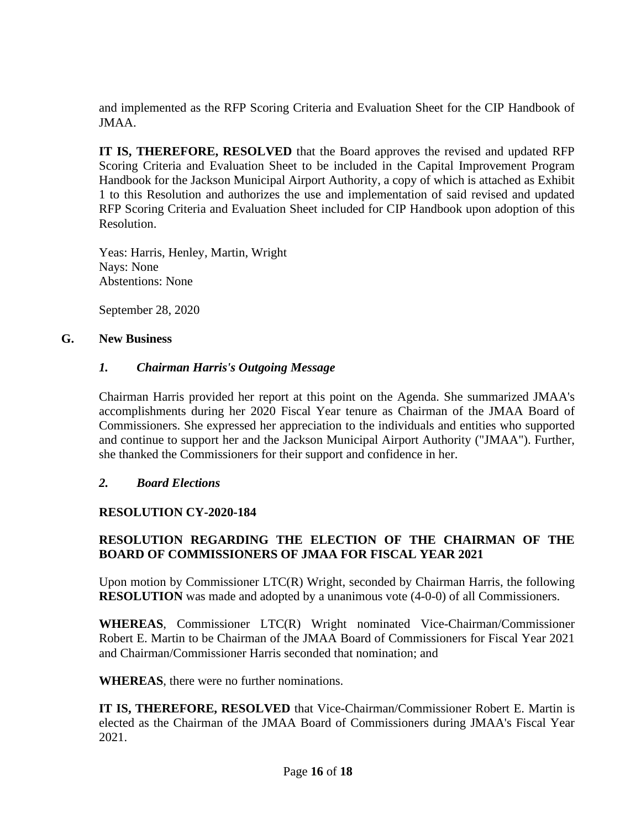and implemented as the RFP Scoring Criteria and Evaluation Sheet for the CIP Handbook of JMAA.

**IT IS, THEREFORE, RESOLVED** that the Board approves the revised and updated RFP Scoring Criteria and Evaluation Sheet to be included in the Capital Improvement Program Handbook for the Jackson Municipal Airport Authority, a copy of which is attached as Exhibit 1 to this Resolution and authorizes the use and implementation of said revised and updated RFP Scoring Criteria and Evaluation Sheet included for CIP Handbook upon adoption of this Resolution.

Yeas: Harris, Henley, Martin, Wright Nays: None Abstentions: None

September 28, 2020

## **G. New Business**

## *1. Chairman Harris's Outgoing Message*

Chairman Harris provided her report at this point on the Agenda. She summarized JMAA's accomplishments during her 2020 Fiscal Year tenure as Chairman of the JMAA Board of Commissioners. She expressed her appreciation to the individuals and entities who supported and continue to support her and the Jackson Municipal Airport Authority ("JMAA"). Further, she thanked the Commissioners for their support and confidence in her.

## *2. Board Elections*

## **RESOLUTION CY-2020-184**

## **RESOLUTION REGARDING THE ELECTION OF THE CHAIRMAN OF THE BOARD OF COMMISSIONERS OF JMAA FOR FISCAL YEAR 2021**

Upon motion by Commissioner LTC(R) Wright, seconded by Chairman Harris, the following **RESOLUTION** was made and adopted by a unanimous vote (4-0-0) of all Commissioners.

**WHEREAS**, Commissioner LTC(R) Wright nominated Vice-Chairman/Commissioner Robert E. Martin to be Chairman of the JMAA Board of Commissioners for Fiscal Year 2021 and Chairman/Commissioner Harris seconded that nomination; and

**WHEREAS**, there were no further nominations.

**IT IS, THEREFORE, RESOLVED** that Vice-Chairman/Commissioner Robert E. Martin is elected as the Chairman of the JMAA Board of Commissioners during JMAA's Fiscal Year 2021.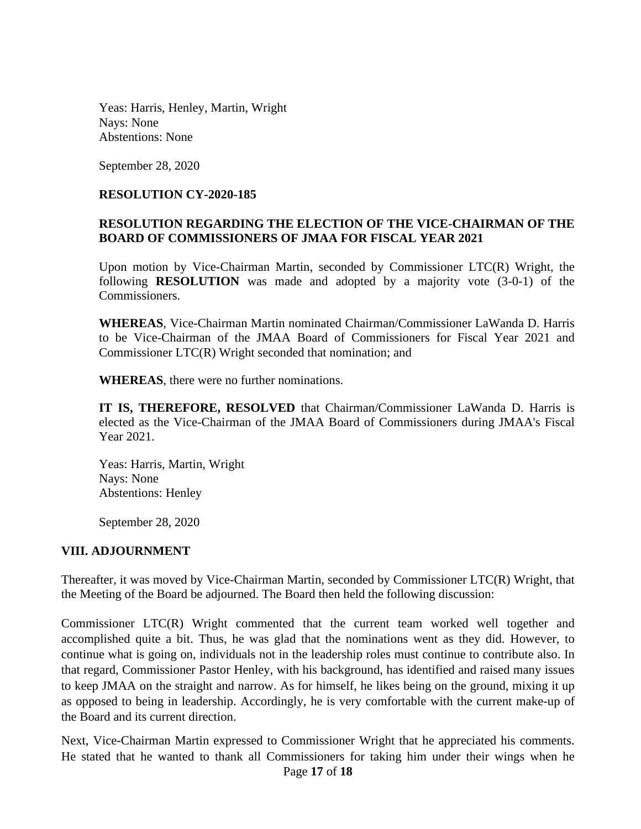Yeas: Harris, Henley, Martin, Wright Nays: None Abstentions: None

September 28, 2020

#### **RESOLUTION CY-2020-185**

### **RESOLUTION REGARDING THE ELECTION OF THE VICE-CHAIRMAN OF THE BOARD OF COMMISSIONERS OF JMAA FOR FISCAL YEAR 2021**

Upon motion by Vice-Chairman Martin, seconded by Commissioner LTC(R) Wright, the following **RESOLUTION** was made and adopted by a majority vote (3-0-1) of the Commissioners.

**WHEREAS**, Vice-Chairman Martin nominated Chairman/Commissioner LaWanda D. Harris to be Vice-Chairman of the JMAA Board of Commissioners for Fiscal Year 2021 and Commissioner LTC(R) Wright seconded that nomination; and

**WHEREAS**, there were no further nominations.

**IT IS, THEREFORE, RESOLVED** that Chairman/Commissioner LaWanda D. Harris is elected as the Vice-Chairman of the JMAA Board of Commissioners during JMAA's Fiscal Year 2021.

Yeas: Harris, Martin, Wright Nays: None Abstentions: Henley

September 28, 2020

#### **VIII. ADJOURNMENT**

Thereafter, it was moved by Vice-Chairman Martin, seconded by Commissioner LTC(R) Wright, that the Meeting of the Board be adjourned. The Board then held the following discussion:

Commissioner LTC(R) Wright commented that the current team worked well together and accomplished quite a bit. Thus, he was glad that the nominations went as they did. However, to continue what is going on, individuals not in the leadership roles must continue to contribute also. In that regard, Commissioner Pastor Henley, with his background, has identified and raised many issues to keep JMAA on the straight and narrow. As for himself, he likes being on the ground, mixing it up as opposed to being in leadership. Accordingly, he is very comfortable with the current make-up of the Board and its current direction.

Page **17** of **18** Next, Vice-Chairman Martin expressed to Commissioner Wright that he appreciated his comments. He stated that he wanted to thank all Commissioners for taking him under their wings when he